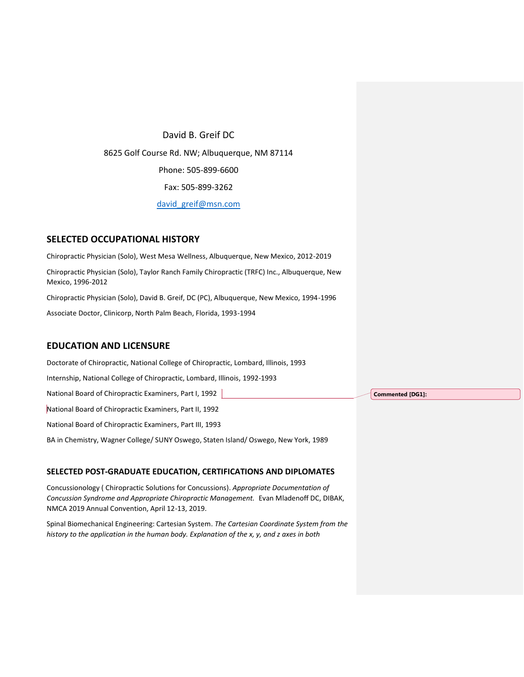David B. Greif DC 8625 Golf Course Rd. NW; Albuquerque, NM 87114 Phone: 505-899-6600 Fax: 505-899-3262 [david\\_greif@msn.com](mailto:david_greif@msn.com)

## **SELECTED OCCUPATIONAL HISTORY**

Chiropractic Physician (Solo), West Mesa Wellness, Albuquerque, New Mexico, 2012-2019 Chiropractic Physician (Solo), Taylor Ranch Family Chiropractic (TRFC) Inc., Albuquerque, New Mexico, 1996-2012 Chiropractic Physician (Solo), David B. Greif, DC (PC), Albuquerque, New Mexico, 1994-1996 Associate Doctor, Clinicorp, North Palm Beach, Florida, 1993-1994

## **EDUCATION AND LICENSURE**

Doctorate of Chiropractic, National College of Chiropractic, Lombard, Illinois, 1993 Internship, National College of Chiropractic, Lombard, Illinois, 1992-1993 National Board of Chiropractic Examiners, Part I, 1992 National Board of Chiropractic Examiners, Part II, 1992 National Board of Chiropractic Examiners, Part III, 1993 BA in Chemistry, Wagner College/ SUNY Oswego, Staten Island/ Oswego, New York, 1989

#### **SELECTED POST-GRADUATE EDUCATION, CERTIFICATIONS AND DIPLOMATES**

Concussionology ( Chiropractic Solutions for Concussions). *Appropriate Documentation of Concussion Syndrome and Appropriate Chiropractic Management.* Evan Mladenoff DC, DIBAK, NMCA 2019 Annual Convention, April 12-13, 2019.

Spinal Biomechanical Engineering: Cartesian System. *The Cartesian Coordinate System from the history to the application in the human body. Explanation of the x, y, and z axes in both* 

**Commented [DG1]:**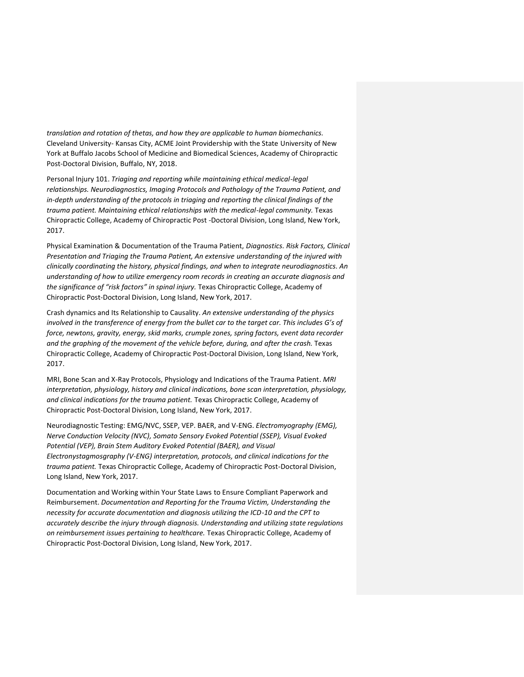*translation and rotation of thetas, and how they are applicable to human biomechanics.* Cleveland University- Kansas City, ACME Joint Providership with the State University of New York at Buffalo Jacobs School of Medicine and Biomedical Sciences, Academy of Chiropractic Post-Doctoral Division, Buffalo, NY, 2018.

Personal Injury 101. *Triaging and reporting while maintaining ethical medical-legal relationships. Neurodiagnostics, Imaging Protocols and Pathology of the Trauma Patient, and in-depth understanding of the protocols in triaging and reporting the clinical findings of the trauma patient. Maintaining ethical relationships with the medical-legal community.* Texas Chiropractic College, Academy of Chiropractic Post -Doctoral Division, Long Island, New York, 2017.

Physical Examination & Documentation of the Trauma Patient, *Diagnostics. Risk Factors, Clinical Presentation and Triaging the Trauma Patient, An extensive understanding of the injured with clinically coordinating the history, physical findings, and when to integrate neurodiagnostics. An understanding of how to utilize emergency room records in creating an accurate diagnosis and the significance of "risk factors" in spinal injury.* Texas Chiropractic College, Academy of Chiropractic Post-Doctoral Division, Long Island, New York, 2017.

Crash dynamics and Its Relationship to Causality. *An extensive understanding of the physics involved in the transference of energy from the bullet car to the target car. This includes G's of force, newtons, gravity, energy, skid marks, crumple zones, spring factors, event data recorder and the graphing of the movement of the vehicle before, during, and after the crash.* Texas Chiropractic College, Academy of Chiropractic Post-Doctoral Division, Long Island, New York, 2017.

MRI, Bone Scan and X-Ray Protocols, Physiology and Indications of the Trauma Patient. *MRI interpretation, physiology, history and clinical indications, bone scan interpretation, physiology, and clinical indications for the trauma patient.* Texas Chiropractic College, Academy of Chiropractic Post-Doctoral Division, Long Island, New York, 2017.

Neurodiagnostic Testing: EMG/NVC, SSEP, VEP. BAER, and V-ENG. *Electromyography (EMG), Nerve Conduction Velocity (NVC), Somato Sensory Evoked Potential (SSEP), Visual Evoked Potential (VEP), Brain Stem Auditory Evoked Potential (BAER), and Visual Electronystagmosgraphy (V-ENG) interpretation, protocols, and clinical indications for the trauma patient.* Texas Chiropractic College, Academy of Chiropractic Post-Doctoral Division, Long Island, New York, 2017.

Documentation and Working within Your State Laws to Ensure Compliant Paperwork and Reimbursement. *Documentation and Reporting for the Trauma Victim, Understanding the necessity for accurate documentation and diagnosis utilizing the ICD-10 and the CPT to accurately describe the injury through diagnosis. Understanding and utilizing state regulations on reimbursement issues pertaining to healthcare.* Texas Chiropractic College, Academy of Chiropractic Post-Doctoral Division, Long Island, New York, 2017.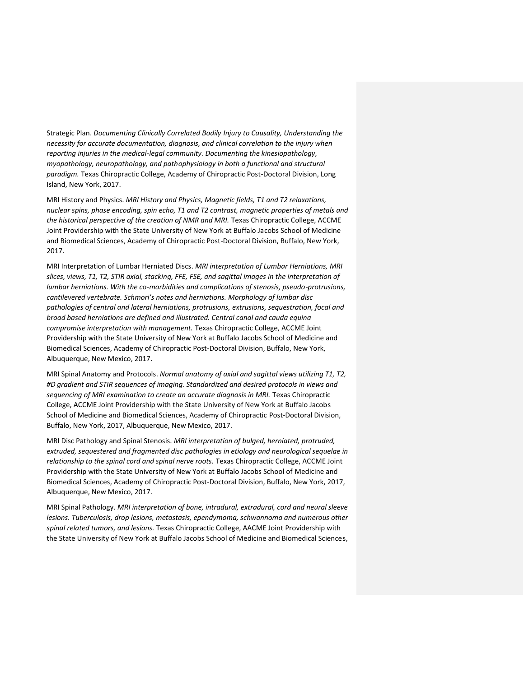Strategic Plan. *Documenting Clinically Correlated Bodily Injury to Causality, Understanding the necessity for accurate documentation, diagnosis, and clinical correlation to the injury when reporting injuries in the medical-legal community. Documenting the kinesiopathology, myopathology, neuropathology, and pathophysiology in both a functional and structural paradigm.* Texas Chiropractic College, Academy of Chiropractic Post-Doctoral Division, Long Island, New York, 2017.

MRI History and Physics. *MRI History and Physics, Magnetic fields, T1 and T2 relaxations, nuclear spins, phase encoding, spin echo, T1 and T2 contrast, magnetic properties of metals and the historical perspective of the creation of NMR and MRI.* Texas Chiropractic College, ACCME Joint Providership with the State University of New York at Buffalo Jacobs School of Medicine and Biomedical Sciences, Academy of Chiropractic Post-Doctoral Division, Buffalo, New York, 2017.

MRI Interpretation of Lumbar Herniated Discs. *MRI interpretation of Lumbar Herniations, MRI slices, views, T1, T2, STIR axial, stacking, FFE, FSE, and sagittal images in the interpretation of lumbar herniations. With the co-morbidities and complications of stenosis, pseudo-protrusions, cantilevered vertebrate. Schmori's notes and herniations. Morphology of lumbar disc pathologies of central and lateral herniations, protrusions, extrusions, sequestration, focal and broad based herniations are defined and illustrated. Central canal and cauda equina compromise interpretation with management.* Texas Chiropractic College, ACCME Joint Providership with the State University of New York at Buffalo Jacobs School of Medicine and Biomedical Sciences, Academy of Chiropractic Post-Doctoral Division, Buffalo, New York, Albuquerque, New Mexico, 2017.

MRI Spinal Anatomy and Protocols. *Normal anatomy of axial and sagittal views utilizing T1, T2, #D gradient and STIR sequences of imaging. Standardized and desired protocols in views and sequencing of MRI examination to create an accurate diagnosis in MRI.* Texas Chiropractic College, ACCME Joint Providership with the State University of New York at Buffalo Jacobs School of Medicine and Biomedical Sciences, Academy of Chiropractic Post-Doctoral Division, Buffalo, New York, 2017, Albuquerque, New Mexico, 2017.

MRI Disc Pathology and Spinal Stenosis. *MRI interpretation of bulged, herniated, protruded, extruded, sequestered and fragmented disc pathologies in etiology and neurological sequelae in relationship to the spinal cord and spinal nerve roots.* Texas Chiropractic College, ACCME Joint Providership with the State University of New York at Buffalo Jacobs School of Medicine and Biomedical Sciences, Academy of Chiropractic Post-Doctoral Division, Buffalo, New York, 2017, Albuquerque, New Mexico, 2017.

MRI Spinal Pathology. *MRI interpretation of bone, intradural, extradural, cord and neural sleeve lesions. Tuberculosis, drop lesions, metastasis, ependymoma, schwannoma and numerous other spinal related tumors, and lesions.* Texas Chiropractic College, AACME Joint Providership with the State University of New York at Buffalo Jacobs School of Medicine and Biomedical Sciences,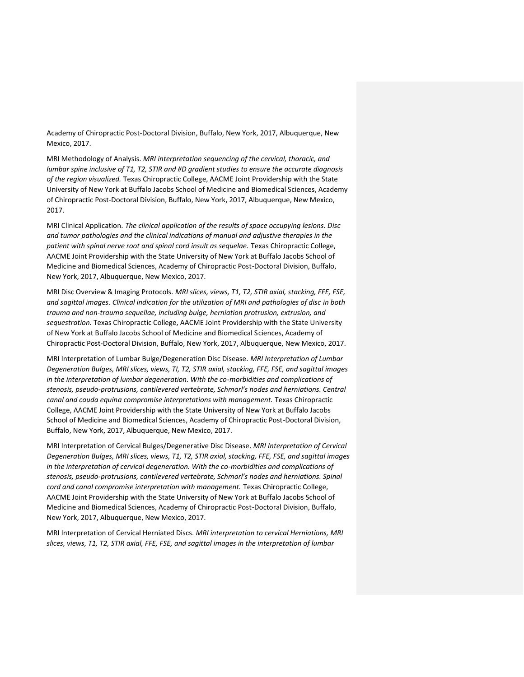Academy of Chiropractic Post-Doctoral Division, Buffalo, New York, 2017, Albuquerque, New Mexico, 2017.

MRI Methodology of Analysis. *MRI interpretation sequencing of the cervical, thoracic, and lumbar spine inclusive of T1, T2, STIR and #D gradient studies to ensure the accurate diagnosis of the region visualized.* Texas Chiropractic College, AACME Joint Providership with the State University of New York at Buffalo Jacobs School of Medicine and Biomedical Sciences, Academy of Chiropractic Post-Doctoral Division, Buffalo, New York, 2017, Albuquerque, New Mexico, 2017.

MRI Clinical Application. *The clinical application of the results of space occupying lesions. Disc and tumor pathologies and the clinical indications of manual and adjustive therapies in the patient with spinal nerve root and spinal cord insult as sequelae.* Texas Chiropractic College, AACME Joint Providership with the State University of New York at Buffalo Jacobs School of Medicine and Biomedical Sciences, Academy of Chiropractic Post-Doctoral Division, Buffalo, New York, 2017, Albuquerque, New Mexico, 2017.

MRI Disc Overview & Imaging Protocols. *MRI slices, views, T1, T2, STIR axial, stacking, FFE, FSE, and sagittal images. Clinical indication for the utilization of MRI and pathologies of disc in both trauma and non-trauma sequellae, including bulge, herniation protrusion, extrusion, and sequestration.* Texas Chiropractic College, AACME Joint Providership with the State University of New York at Buffalo Jacobs School of Medicine and Biomedical Sciences, Academy of Chiropractic Post-Doctoral Division, Buffalo, New York, 2017, Albuquerque, New Mexico, 2017.

MRI Interpretation of Lumbar Bulge/Degeneration Disc Disease. *MRI Interpretation of Lumbar Degeneration Bulges, MRI slices, views, TI, T2, STIR axial, stacking, FFE, FSE, and sagittal images in the interpretation of lumbar degeneration. With the co-morbidities and complications of stenosis, pseudo-protrusions, cantilevered vertebrate, Schmorl's nodes and herniations. Central canal and cauda equina compromise interpretations with management.* Texas Chiropractic College, AACME Joint Providership with the State University of New York at Buffalo Jacobs School of Medicine and Biomedical Sciences, Academy of Chiropractic Post-Doctoral Division, Buffalo, New York, 2017, Albuquerque, New Mexico, 2017.

MRI Interpretation of Cervical Bulges/Degenerative Disc Disease. *MRI Interpretation of Cervical Degeneration Bulges, MRI slices, views, T1, T2, STIR axial, stacking, FFE, FSE, and sagittal images in the interpretation of cervical degeneration. With the co-morbidities and complications of stenosis, pseudo-protrusions, cantilevered vertebrate, Schmorl's nodes and herniations. Spinal cord and canal compromise interpretation with management.* Texas Chiropractic College, AACME Joint Providership with the State University of New York at Buffalo Jacobs School of Medicine and Biomedical Sciences, Academy of Chiropractic Post-Doctoral Division, Buffalo, New York, 2017, Albuquerque, New Mexico, 2017.

MRI Interpretation of Cervical Herniated Discs. *MRI interpretation to cervical Herniations, MRI slices, views, T1, T2, STIR axial, FFE, FSE, and sagittal images in the interpretation of lumbar*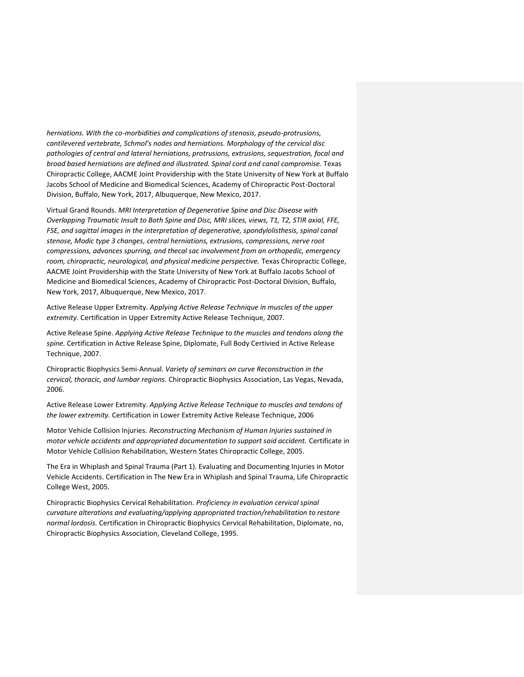*herniations. With the co-morbidities and complications of stenosis, pseudo-protrusions, cantilevered vertebrate, Schmol's nodes and herniations. Morphology of the cervical disc pathologies of central and lateral herniations, protrusions, extrusions, sequestration, focal and broad based herniations are defined and illustrated. Spinal cord and canal compromise.* Texas Chiropractic College, AACME Joint Providership with the State University of New York at Buffalo Jacobs School of Medicine and Biomedical Sciences, Academy of Chiropractic Post-Doctoral Division, Buffalo, New York, 2017, Albuquerque, New Mexico, 2017.

Virtual Grand Rounds. *MRI Interpretation of Degenerative Spine and Disc Disease with Overlapping Traumatic Insult to Both Spine and Disc, MRI slices, views, T1, T2, STIR axial, FFE, FSE, and sagittal images in the interpretation of degenerative, spondylolisthesis, spinal canal stenose, Modic type 3 changes, central herniations, extrusions, compressions, nerve root compressions, advances spurring, and thecal sac involvement from an orthopedic, emergency room, chiropractic, neurological, and physical medicine perspective.* Texas Chiropractic College, AACME Joint Providership with the State University of New York at Buffalo Jacobs School of Medicine and Biomedical Sciences, Academy of Chiropractic Post-Doctoral Division, Buffalo, New York, 2017, Albuquerque, New Mexico, 2017.

Active Release Upper Extremity. *Applying Active Release Technique in muscles of the upper extremity.* Certification in Upper Extremity Active Release Technique, 2007.

Active Release Spine. *Applying Active Release Technique to the muscles and tendons along the spine.* Certification in Active Release Spine, Diplomate, Full Body Certivied in Active Release Technique, 2007.

Chiropractic Biophysics Semi-Annual. *Variety of seminars on curve Reconstruction in the cervical, thoracic, and lumbar regions.* Chiropractic Biophysics Association, Las Vegas, Nevada, 2006.

Active Release Lower Extremity. *Applying Active Release Technique to muscles and tendons of the lower extremity.* Certification in Lower Extremity Active Release Technique, 2006

Motor Vehicle Collision Injuries. *Reconstructing Mechanism of Human Injuries sustained in motor vehicle accidents and appropriated documentation to support said accident.* Certificate in Motor Vehicle Collision Rehabilitation, Western States Chiropractic College, 2005.

The Era in Whiplash and Spinal Trauma (Part 1). Evaluating and Documenting Injuries in Motor Vehicle Accidents. Certification in The New Era in Whiplash and Spinal Trauma, Life Chiropractic College West, 2005.

Chiropractic Biophysics Cervical Rehabilitation. *Proficiency in evaluation cervical spinal curvature alterations and evaluating/applying appropriated traction/rehabilitation to restore normal lordosis.* Certification in Chiropractic Biophysics Cervical Rehabilitation, Diplomate, no, Chiropractic Biophysics Association, Cleveland College, 1995.